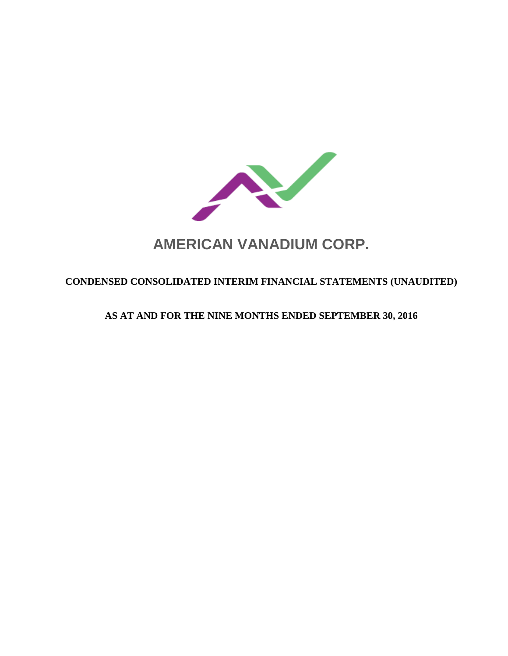

# **AMERICAN VANADIUM CORP.**

# **CONDENSED CONSOLIDATED INTERIM FINANCIAL STATEMENTS (UNAUDITED)**

# **AS AT AND FOR THE NINE MONTHS ENDED SEPTEMBER 30, 2016**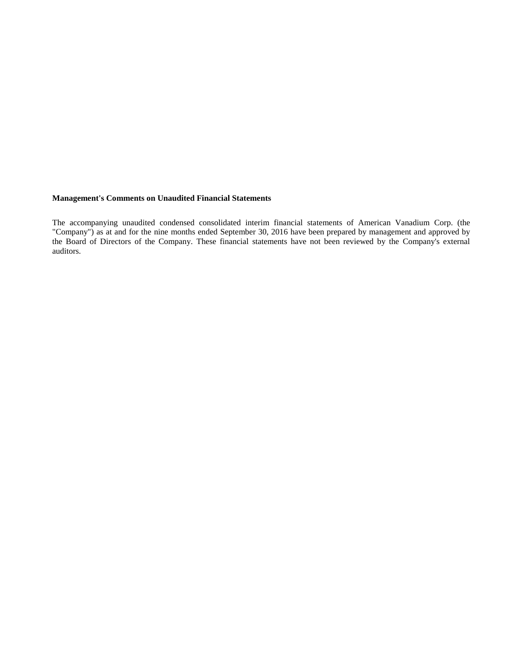# **Management's Comments on Unaudited Financial Statements**

The accompanying unaudited condensed consolidated interim financial statements of American Vanadium Corp. (the "Company") as at and for the nine months ended September 30, 2016 have been prepared by management and approved by the Board of Directors of the Company. These financial statements have not been reviewed by the Company's external auditors.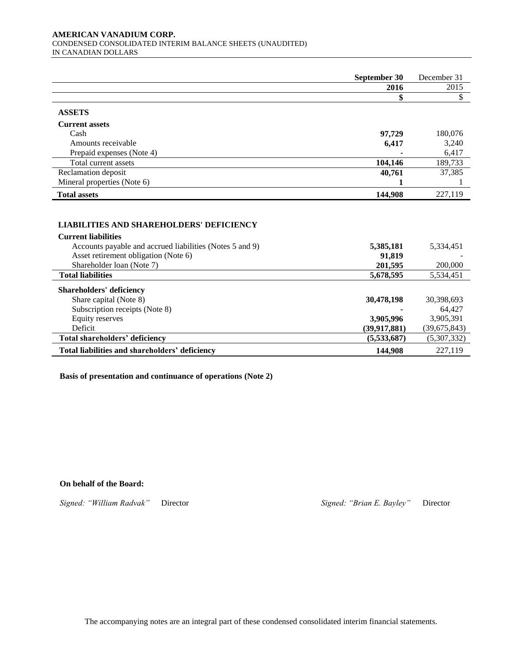#### **AMERICAN VANADIUM CORP.**  CONDENSED CONSOLIDATED INTERIM BALANCE SHEETS (UNAUDITED) IN CANADIAN DOLLARS

|                                                                                                                                                                                                                | September 30                                             | December 31                                                      |
|----------------------------------------------------------------------------------------------------------------------------------------------------------------------------------------------------------------|----------------------------------------------------------|------------------------------------------------------------------|
|                                                                                                                                                                                                                | 2016                                                     | 2015                                                             |
|                                                                                                                                                                                                                | \$                                                       | \$                                                               |
| <b>ASSETS</b>                                                                                                                                                                                                  |                                                          |                                                                  |
| <b>Current assets</b>                                                                                                                                                                                          |                                                          |                                                                  |
| Cash                                                                                                                                                                                                           | 97,729                                                   | 180,076                                                          |
| Amounts receivable                                                                                                                                                                                             | 6,417                                                    | 3,240                                                            |
| Prepaid expenses (Note 4)                                                                                                                                                                                      |                                                          | 6,417                                                            |
| Total current assets                                                                                                                                                                                           | 104,146                                                  | 189,733                                                          |
| Reclamation deposit                                                                                                                                                                                            | 40,761                                                   | 37,385                                                           |
| Mineral properties (Note 6)                                                                                                                                                                                    | 1                                                        |                                                                  |
| <b>Total assets</b>                                                                                                                                                                                            | 144,908                                                  | 227,119                                                          |
| <b>LIABILITIES AND SHAREHOLDERS' DEFICIENCY</b><br><b>Current liabilities</b><br>Accounts payable and accrued liabilities (Notes 5 and 9)<br>Asset retirement obligation (Note 6)<br>Shareholder loan (Note 7) | 5,385,181<br>91,819<br>201,595                           | 5,334,451<br>200,000                                             |
| <b>Total liabilities</b>                                                                                                                                                                                       | 5,678,595                                                | 5,534,451                                                        |
| <b>Shareholders' deficiency</b><br>Share capital (Note 8)<br>Subscription receipts (Note 8)<br><b>Equity reserves</b><br>Deficit<br>Total shareholders' deficiency                                             | 30,478,198<br>3,905,996<br>(39, 917, 881)<br>(5,533,687) | 30,398,693<br>64,427<br>3,905,391<br>(39,675,843)<br>(5,307,332) |
| Total liabilities and shareholders' deficiency                                                                                                                                                                 | 144,908                                                  | 227,119                                                          |

**Basis of presentation and continuance of operations (Note 2)**

**On behalf of the Board:**

*Signed: "William Radvak"* Director *Signed: "Brian E. Bayley"* Director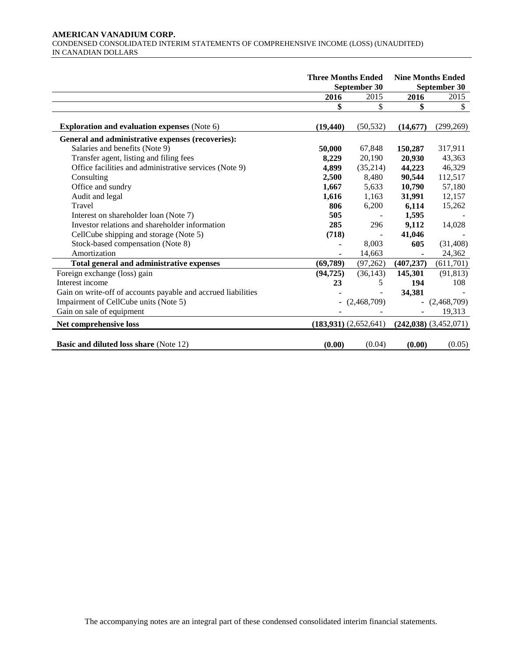#### **AMERICAN VANADIUM CORP.**  CONDENSED CONSOLIDATED INTERIM STATEMENTS OF COMPREHENSIVE INCOME (LOSS) (UNAUDITED) IN CANADIAN DOLLARS

|                                                               | <b>Three Months Ended</b><br>September 30 |             | <b>Nine Months Ended</b><br>September 30 |                           |  |
|---------------------------------------------------------------|-------------------------------------------|-------------|------------------------------------------|---------------------------|--|
|                                                               | 2016                                      | 2015        | 2016                                     | 2015                      |  |
|                                                               | \$                                        | \$          | \$                                       | \$                        |  |
| <b>Exploration and evaluation expenses (Note 6)</b>           | (19, 440)                                 | (50, 532)   | (14, 677)                                | (299, 269)                |  |
| General and administrative expenses (recoveries):             |                                           |             |                                          |                           |  |
| Salaries and benefits (Note 9)                                | 50,000                                    | 67,848      | 150,287                                  | 317,911                   |  |
| Transfer agent, listing and filing fees                       | 8,229                                     | 20,190      | 20,930                                   | 43,363                    |  |
| Office facilities and administrative services (Note 9)        | 4,899                                     | (35,214)    | 44,223                                   | 46,329                    |  |
| Consulting                                                    | 2,500                                     | 8,480       | 90,544                                   | 112,517                   |  |
| Office and sundry                                             | 1,667                                     | 5,633       | 10,790                                   | 57,180                    |  |
| Audit and legal                                               | 1,616                                     | 1,163       | 31,991                                   | 12,157                    |  |
| Travel                                                        | 806                                       | 6,200       | 6,114                                    | 15,262                    |  |
| Interest on shareholder loan (Note 7)                         | 505                                       |             | 1,595                                    |                           |  |
| Investor relations and shareholder information                | 285                                       | 296         | 9,112                                    | 14,028                    |  |
| CellCube shipping and storage (Note 5)                        | (718)                                     |             | 41,046                                   |                           |  |
| Stock-based compensation (Note 8)                             |                                           | 8,003       | 605                                      | (31, 408)                 |  |
| Amortization                                                  |                                           | 14,663      |                                          | 24,362                    |  |
| Total general and administrative expenses                     | (69,789)                                  | (97, 262)   | (407, 237)                               | (611,701)                 |  |
| Foreign exchange (loss) gain                                  | (94, 725)                                 | (36, 143)   | 145,301                                  | (91, 813)                 |  |
| Interest income                                               | 23                                        | 5           | 194                                      | 108                       |  |
| Gain on write-off of accounts payable and accrued liabilities |                                           |             | 34,381                                   |                           |  |
| Impairment of CellCube units (Note 5)                         | $\blacksquare$                            | (2,468,709) |                                          | (2,468,709)               |  |
| Gain on sale of equipment                                     |                                           |             |                                          | 19,313                    |  |
| Net comprehensive loss                                        | (183,931) (2,652,641)                     |             |                                          | $(242,038)$ $(3,452,071)$ |  |
| <b>Basic and diluted loss share (Note 12)</b>                 | (0.00)                                    | (0.04)      | (0.00)                                   | (0.05)                    |  |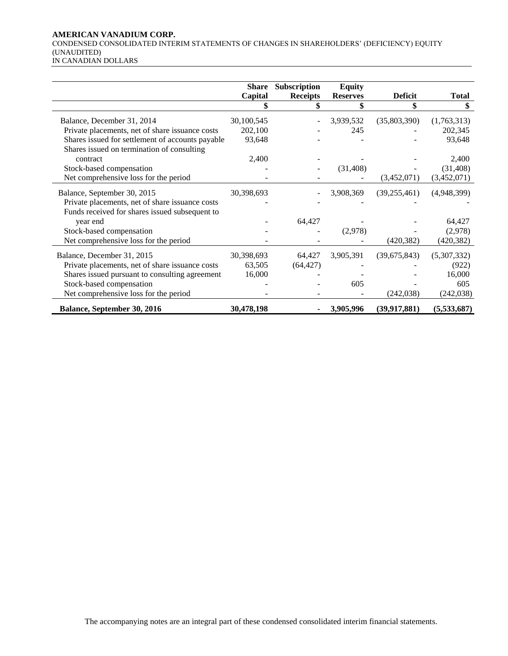# **AMERICAN VANADIUM CORP.**

CONDENSED CONSOLIDATED INTERIM STATEMENTS OF CHANGES IN SHAREHOLDERS' (DEFICIENCY) EQUITY (UNAUDITED)

|                                                  | <b>Share</b> | Subscription    | <b>Equity</b>   |                |              |
|--------------------------------------------------|--------------|-----------------|-----------------|----------------|--------------|
|                                                  | Capital      | <b>Receipts</b> | <b>Reserves</b> | <b>Deficit</b> | <b>Total</b> |
|                                                  |              |                 |                 | \$             | \$           |
| Balance, December 31, 2014                       | 30,100,545   |                 | 3,939,532       | (35,803,390)   | (1,763,313)  |
| Private placements, net of share issuance costs  | 202,100      |                 | 245             |                | 202,345      |
| Shares issued for settlement of accounts payable | 93,648       |                 |                 |                | 93,648       |
| Shares issued on termination of consulting       |              |                 |                 |                |              |
| contract                                         | 2,400        |                 |                 |                | 2,400        |
| Stock-based compensation                         |              |                 | (31, 408)       |                | (31, 408)    |
| Net comprehensive loss for the period            |              |                 |                 | (3,452,071)    | (3,452,071)  |
| Balance, September 30, 2015                      | 30,398,693   |                 | 3,908,369       | (39, 255, 461) | (4,948,399)  |
| Private placements, net of share issuance costs  |              |                 |                 |                |              |
| Funds received for shares issued subsequent to   |              |                 |                 |                |              |
| year end                                         |              | 64,427          |                 |                | 64,427       |
| Stock-based compensation                         |              |                 | (2,978)         |                | (2,978)      |
| Net comprehensive loss for the period            |              |                 |                 | (420, 382)     | (420, 382)   |
| Balance, December 31, 2015                       | 30,398,693   | 64,427          | 3,905,391       | (39,675,843)   | (5,307,332)  |
| Private placements, net of share issuance costs  | 63,505       | (64, 427)       |                 |                | (922)        |
| Shares issued pursuant to consulting agreement   | 16,000       |                 |                 |                | 16,000       |
| Stock-based compensation                         |              |                 | 605             |                | 605          |
|                                                  |              |                 |                 |                |              |
| Net comprehensive loss for the period            |              |                 |                 | (242, 038)     | (242, 038)   |
| Balance, September 30, 2016                      | 30,478,198   |                 | 3,905,996       | (39, 917, 881) | (5,533,687)  |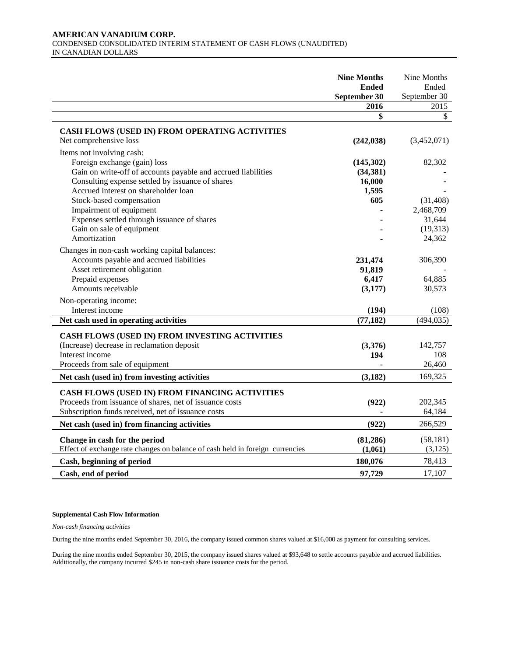#### **AMERICAN VANADIUM CORP.**  CONDENSED CONSOLIDATED INTERIM STATEMENT OF CASH FLOWS (UNAUDITED) IN CANADIAN DOLLARS

|                                                                                                                                                                                                                                                                                                                                                                           | <b>Nine Months</b><br><b>Ended</b><br>September 30 | Nine Months<br>Ended<br>September 30                             |
|---------------------------------------------------------------------------------------------------------------------------------------------------------------------------------------------------------------------------------------------------------------------------------------------------------------------------------------------------------------------------|----------------------------------------------------|------------------------------------------------------------------|
|                                                                                                                                                                                                                                                                                                                                                                           | 2016                                               | 2015                                                             |
|                                                                                                                                                                                                                                                                                                                                                                           | \$                                                 | $\mathbb{S}$                                                     |
| CASH FLOWS (USED IN) FROM OPERATING ACTIVITIES<br>Net comprehensive loss                                                                                                                                                                                                                                                                                                  | (242, 038)                                         | (3,452,071)                                                      |
| Items not involving cash:<br>Foreign exchange (gain) loss<br>Gain on write-off of accounts payable and accrued liabilities<br>Consulting expense settled by issuance of shares<br>Accrued interest on shareholder loan<br>Stock-based compensation<br>Impairment of equipment<br>Expenses settled through issuance of shares<br>Gain on sale of equipment<br>Amortization | (145,302)<br>(34, 381)<br>16,000<br>1,595<br>605   | 82,302<br>(31, 408)<br>2,468,709<br>31,644<br>(19,313)<br>24,362 |
| Changes in non-cash working capital balances:<br>Accounts payable and accrued liabilities<br>Asset retirement obligation<br>Prepaid expenses<br>Amounts receivable<br>Non-operating income:                                                                                                                                                                               | 231,474<br>91,819<br>6,417<br>(3,177)              | 306,390<br>64,885<br>30,573                                      |
| Interest income                                                                                                                                                                                                                                                                                                                                                           | (194)                                              | (108)                                                            |
| Net cash used in operating activities                                                                                                                                                                                                                                                                                                                                     | (77, 182)                                          | (494, 035)                                                       |
| CASH FLOWS (USED IN) FROM INVESTING ACTIVITIES<br>(Increase) decrease in reclamation deposit<br>Interest income<br>Proceeds from sale of equipment                                                                                                                                                                                                                        | (3,376)<br>194                                     | 142,757<br>108<br>26,460<br>169,325                              |
| Net cash (used in) from investing activities                                                                                                                                                                                                                                                                                                                              | (3,182)                                            |                                                                  |
| CASH FLOWS (USED IN) FROM FINANCING ACTIVITIES<br>Proceeds from issuance of shares, net of issuance costs<br>Subscription funds received, net of issuance costs                                                                                                                                                                                                           | (922)                                              | 202,345<br>64,184                                                |
| Net cash (used in) from financing activities                                                                                                                                                                                                                                                                                                                              | (922)                                              | 266,529                                                          |
| Change in cash for the period<br>Effect of exchange rate changes on balance of cash held in foreign currencies                                                                                                                                                                                                                                                            | (81, 286)<br>(1,061)                               | (58, 181)<br>(3, 125)                                            |
| Cash, beginning of period                                                                                                                                                                                                                                                                                                                                                 | 180,076                                            | 78,413                                                           |
| Cash, end of period                                                                                                                                                                                                                                                                                                                                                       | 97,729                                             | 17,107                                                           |

# **Supplemental Cash Flow Information**

*Non-cash financing activities*

During the nine months ended September 30, 2016, the company issued common shares valued at \$16,000 as payment for consulting services.

During the nine months ended September 30, 2015, the company issued shares valued at \$93,648 to settle accounts payable and accrued liabilities. Additionally, the company incurred \$245 in non-cash share issuance costs for the period.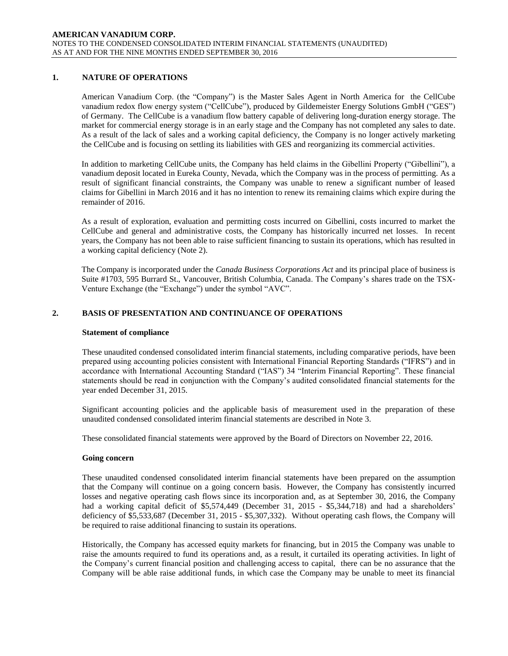# **1. NATURE OF OPERATIONS**

American Vanadium Corp. (the "Company") is the Master Sales Agent in North America for the CellCube vanadium redox flow energy system ("CellCube"), produced by Gildemeister Energy Solutions GmbH ("GES") of Germany. The CellCube is a vanadium flow battery capable of delivering long-duration energy storage. The market for commercial energy storage is in an early stage and the Company has not completed any sales to date. As a result of the lack of sales and a working capital deficiency, the Company is no longer actively marketing the CellCube and is focusing on settling its liabilities with GES and reorganizing its commercial activities.

In addition to marketing CellCube units, the Company has held claims in the Gibellini Property ("Gibellini"), a vanadium deposit located in Eureka County, Nevada, which the Company was in the process of permitting. As a result of significant financial constraints, the Company was unable to renew a significant number of leased claims for Gibellini in March 2016 and it has no intention to renew its remaining claims which expire during the remainder of 2016.

As a result of exploration, evaluation and permitting costs incurred on Gibellini, costs incurred to market the CellCube and general and administrative costs, the Company has historically incurred net losses. In recent years, the Company has not been able to raise sufficient financing to sustain its operations, which has resulted in a working capital deficiency (Note 2).

The Company is incorporated under the *Canada Business Corporations Act* and its principal place of business is Suite #1703, 595 Burrard St., Vancouver, British Columbia, Canada. The Company's shares trade on the TSX-Venture Exchange (the "Exchange") under the symbol "AVC".

# **2. BASIS OF PRESENTATION AND CONTINUANCE OF OPERATIONS**

#### **Statement of compliance**

These unaudited condensed consolidated interim financial statements, including comparative periods, have been prepared using accounting policies consistent with International Financial Reporting Standards ("IFRS") and in accordance with International Accounting Standard ("IAS") 34 "Interim Financial Reporting". These financial statements should be read in conjunction with the Company's audited consolidated financial statements for the year ended December 31, 2015.

Significant accounting policies and the applicable basis of measurement used in the preparation of these unaudited condensed consolidated interim financial statements are described in Note 3.

These consolidated financial statements were approved by the Board of Directors on November 22, 2016.

#### **Going concern**

These unaudited condensed consolidated interim financial statements have been prepared on the assumption that the Company will continue on a going concern basis. However, the Company has consistently incurred losses and negative operating cash flows since its incorporation and, as at September 30, 2016, the Company had a working capital deficit of \$5,574,449 (December 31, 2015 - \$5,344,718) and had a shareholders' deficiency of \$5,533,687 (December 31, 2015 - \$5,307,332). Without operating cash flows, the Company will be required to raise additional financing to sustain its operations.

Historically, the Company has accessed equity markets for financing, but in 2015 the Company was unable to raise the amounts required to fund its operations and, as a result, it curtailed its operating activities. In light of the Company's current financial position and challenging access to capital, there can be no assurance that the Company will be able raise additional funds, in which case the Company may be unable to meet its financial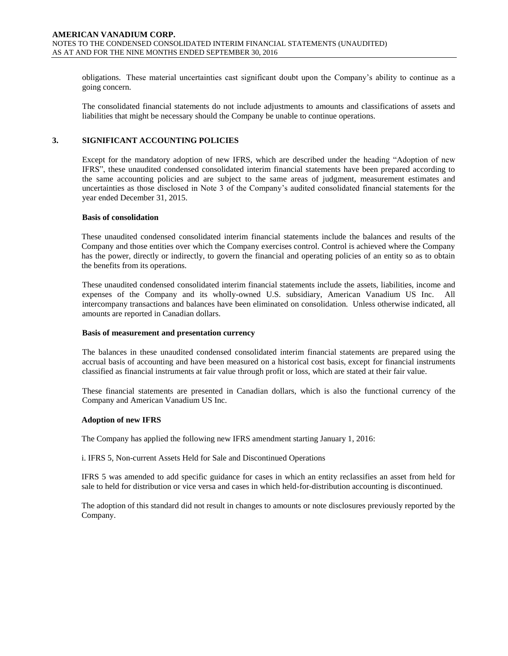obligations. These material uncertainties cast significant doubt upon the Company's ability to continue as a going concern.

The consolidated financial statements do not include adjustments to amounts and classifications of assets and liabilities that might be necessary should the Company be unable to continue operations.

# **3. SIGNIFICANT ACCOUNTING POLICIES**

Except for the mandatory adoption of new IFRS, which are described under the heading "Adoption of new IFRS", these unaudited condensed consolidated interim financial statements have been prepared according to the same accounting policies and are subject to the same areas of judgment, measurement estimates and uncertainties as those disclosed in Note 3 of the Company's audited consolidated financial statements for the year ended December 31, 2015.

#### **Basis of consolidation**

These unaudited condensed consolidated interim financial statements include the balances and results of the Company and those entities over which the Company exercises control. Control is achieved where the Company has the power, directly or indirectly, to govern the financial and operating policies of an entity so as to obtain the benefits from its operations.

These unaudited condensed consolidated interim financial statements include the assets, liabilities, income and expenses of the Company and its wholly-owned U.S. subsidiary, American Vanadium US Inc. All intercompany transactions and balances have been eliminated on consolidation. Unless otherwise indicated, all amounts are reported in Canadian dollars.

#### **Basis of measurement and presentation currency**

The balances in these unaudited condensed consolidated interim financial statements are prepared using the accrual basis of accounting and have been measured on a historical cost basis, except for financial instruments classified as financial instruments at fair value through profit or loss, which are stated at their fair value.

These financial statements are presented in Canadian dollars, which is also the functional currency of the Company and American Vanadium US Inc.

#### **Adoption of new IFRS**

The Company has applied the following new IFRS amendment starting January 1, 2016:

i. IFRS 5, Non-current Assets Held for Sale and Discontinued Operations

IFRS 5 was amended to add specific guidance for cases in which an entity reclassifies an asset from held for sale to held for distribution or vice versa and cases in which held-for-distribution accounting is discontinued.

The adoption of this standard did not result in changes to amounts or note disclosures previously reported by the Company.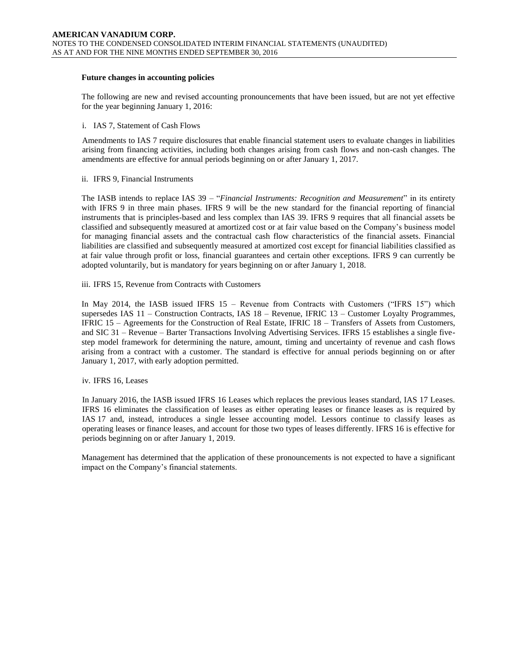#### **Future changes in accounting policies**

The following are new and revised accounting pronouncements that have been issued, but are not yet effective for the year beginning January 1, 2016:

#### i. IAS 7, Statement of Cash Flows

Amendments to IAS 7 require disclosures that enable financial statement users to evaluate changes in liabilities arising from financing activities, including both changes arising from cash flows and non-cash changes. The amendments are effective for annual periods beginning on or after January 1, 2017.

# ii. IFRS 9, Financial Instruments

The IASB intends to replace IAS 39 – "*Financial Instruments: Recognition and Measurement*" in its entirety with IFRS 9 in three main phases. IFRS 9 will be the new standard for the financial reporting of financial instruments that is principles-based and less complex than IAS 39. IFRS 9 requires that all financial assets be classified and subsequently measured at amortized cost or at fair value based on the Company's business model for managing financial assets and the contractual cash flow characteristics of the financial assets. Financial liabilities are classified and subsequently measured at amortized cost except for financial liabilities classified as at fair value through profit or loss, financial guarantees and certain other exceptions. IFRS 9 can currently be adopted voluntarily, but is mandatory for years beginning on or after January 1, 2018.

# iii. IFRS 15, Revenue from Contracts with Customers

In May 2014, the IASB issued IFRS 15 – Revenue from Contracts with Customers ("IFRS 15") which supersedes IAS 11 – Construction Contracts, IAS 18 – Revenue, IFRIC 13 – Customer Loyalty Programmes, IFRIC 15 – Agreements for the Construction of Real Estate, IFRIC 18 – Transfers of Assets from Customers, and SIC 31 – Revenue – Barter Transactions Involving Advertising Services. IFRS 15 establishes a single fivestep model framework for determining the nature, amount, timing and uncertainty of revenue and cash flows arising from a contract with a customer. The standard is effective for annual periods beginning on or after January 1, 2017, with early adoption permitted.

# iv. IFRS 16, Leases

In January 2016, the IASB issued IFRS 16 Leases which replaces the previous leases standard, IAS 17 Leases. IFRS 16 eliminates the classification of leases as either operating leases or finance leases as is required by IAS 17 and, instead, introduces a single lessee accounting model. Lessors continue to classify leases as operating leases or finance leases, and account for those two types of leases differently. IFRS 16 is effective for periods beginning on or after January 1, 2019.

Management has determined that the application of these pronouncements is not expected to have a significant impact on the Company's financial statements.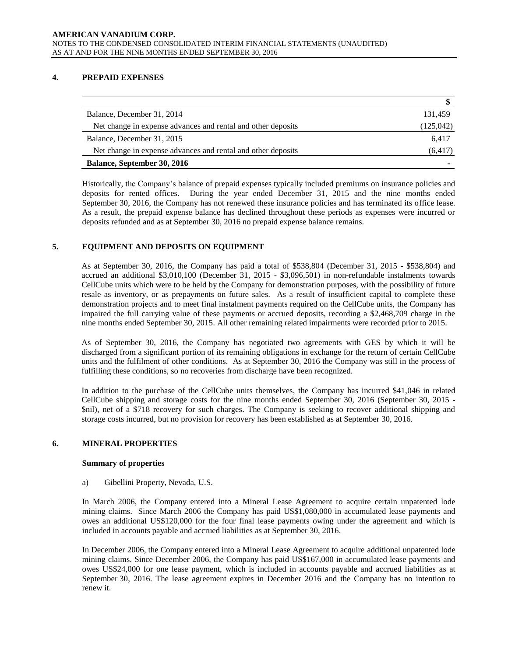# **4. PREPAID EXPENSES**

| Balance, December 31, 2014                                   | 131.459   |
|--------------------------------------------------------------|-----------|
| Net change in expense advances and rental and other deposits | (125,042) |
| Balance, December 31, 2015                                   | 6.417     |
| Net change in expense advances and rental and other deposits | (6, 417)  |
| <b>Balance, September 30, 2016</b>                           |           |

Historically, the Company's balance of prepaid expenses typically included premiums on insurance policies and deposits for rented offices. During the year ended December 31, 2015 and the nine months ended September 30, 2016, the Company has not renewed these insurance policies and has terminated its office lease. As a result, the prepaid expense balance has declined throughout these periods as expenses were incurred or deposits refunded and as at September 30, 2016 no prepaid expense balance remains.

# **5. EQUIPMENT AND DEPOSITS ON EQUIPMENT**

As at September 30, 2016, the Company has paid a total of \$538,804 (December 31, 2015 - \$538,804) and accrued an additional \$3,010,100 (December 31, 2015 - \$3,096,501) in non-refundable instalments towards CellCube units which were to be held by the Company for demonstration purposes, with the possibility of future resale as inventory, or as prepayments on future sales. As a result of insufficient capital to complete these demonstration projects and to meet final instalment payments required on the CellCube units, the Company has impaired the full carrying value of these payments or accrued deposits, recording a \$2,468,709 charge in the nine months ended September 30, 2015. All other remaining related impairments were recorded prior to 2015.

As of September 30, 2016, the Company has negotiated two agreements with GES by which it will be discharged from a significant portion of its remaining obligations in exchange for the return of certain CellCube units and the fulfilment of other conditions. As at September 30, 2016 the Company was still in the process of fulfilling these conditions, so no recoveries from discharge have been recognized.

In addition to the purchase of the CellCube units themselves, the Company has incurred \$41,046 in related CellCube shipping and storage costs for the nine months ended September 30, 2016 (September 30, 2015 - \$nil), net of a \$718 recovery for such charges. The Company is seeking to recover additional shipping and storage costs incurred, but no provision for recovery has been established as at September 30, 2016.

# **6. MINERAL PROPERTIES**

#### **Summary of properties**

a) Gibellini Property, Nevada, U.S.

In March 2006, the Company entered into a Mineral Lease Agreement to acquire certain unpatented lode mining claims. Since March 2006 the Company has paid US\$1,080,000 in accumulated lease payments and owes an additional US\$120,000 for the four final lease payments owing under the agreement and which is included in accounts payable and accrued liabilities as at September 30, 2016.

In December 2006, the Company entered into a Mineral Lease Agreement to acquire additional unpatented lode mining claims. Since December 2006, the Company has paid US\$167,000 in accumulated lease payments and owes US\$24,000 for one lease payment, which is included in accounts payable and accrued liabilities as at September 30, 2016. The lease agreement expires in December 2016 and the Company has no intention to renew it.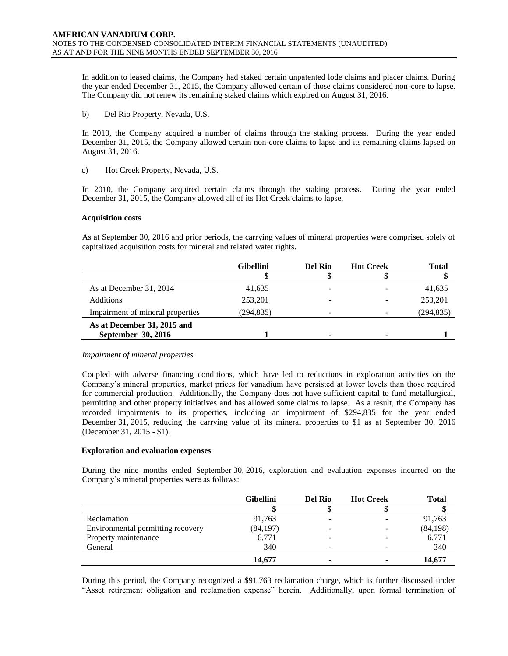In addition to leased claims, the Company had staked certain unpatented lode claims and placer claims. During the year ended December 31, 2015, the Company allowed certain of those claims considered non-core to lapse. The Company did not renew its remaining staked claims which expired on August 31, 2016.

b) Del Rio Property, Nevada, U.S.

In 2010, the Company acquired a number of claims through the staking process. During the year ended December 31, 2015, the Company allowed certain non-core claims to lapse and its remaining claims lapsed on August 31, 2016.

c) Hot Creek Property, Nevada, U.S.

In 2010, the Company acquired certain claims through the staking process. During the year ended December 31, 2015, the Company allowed all of its Hot Creek claims to lapse.

# **Acquisition costs**

As at September 30, 2016 and prior periods, the carrying values of mineral properties were comprised solely of capitalized acquisition costs for mineral and related water rights.

|                                  | <b>Gibellini</b> | Del Rio | <b>Hot Creek</b> | <b>Total</b> |
|----------------------------------|------------------|---------|------------------|--------------|
|                                  |                  |         |                  |              |
| As at December 31, 2014          | 41,635           |         |                  | 41,635       |
| <b>Additions</b>                 | 253,201          | -       |                  | 253,201      |
| Impairment of mineral properties | (294, 835)       | -       |                  | (294, 835)   |
| As at December 31, 2015 and      |                  |         |                  |              |
| September 30, 2016               |                  |         |                  |              |

# *Impairment of mineral properties*

Coupled with adverse financing conditions, which have led to reductions in exploration activities on the Company's mineral properties, market prices for vanadium have persisted at lower levels than those required for commercial production. Additionally, the Company does not have sufficient capital to fund metallurgical, permitting and other property initiatives and has allowed some claims to lapse. As a result, the Company has recorded impairments to its properties, including an impairment of \$294,835 for the year ended December 31, 2015, reducing the carrying value of its mineral properties to \$1 as at September 30, 2016 (December 31, 2015 - \$1).

# **Exploration and evaluation expenses**

During the nine months ended September 30, 2016, exploration and evaluation expenses incurred on the Company's mineral properties were as follows:

|                                   | <b>Gibellini</b> | Del Rio                  | <b>Hot Creek</b> | <b>Total</b> |
|-----------------------------------|------------------|--------------------------|------------------|--------------|
|                                   |                  |                          |                  |              |
| Reclamation                       | 91,763           |                          |                  | 91,763       |
| Environmental permitting recovery | (84, 197)        |                          |                  | (84, 198)    |
| Property maintenance              | 6,771            |                          |                  | 6,771        |
| General                           | 340              | $\overline{\phantom{0}}$ |                  | 340          |
|                                   | 14,677           |                          |                  | 14,677       |

During this period, the Company recognized a \$91,763 reclamation charge, which is further discussed under "Asset retirement obligation and reclamation expense" herein. Additionally, upon formal termination of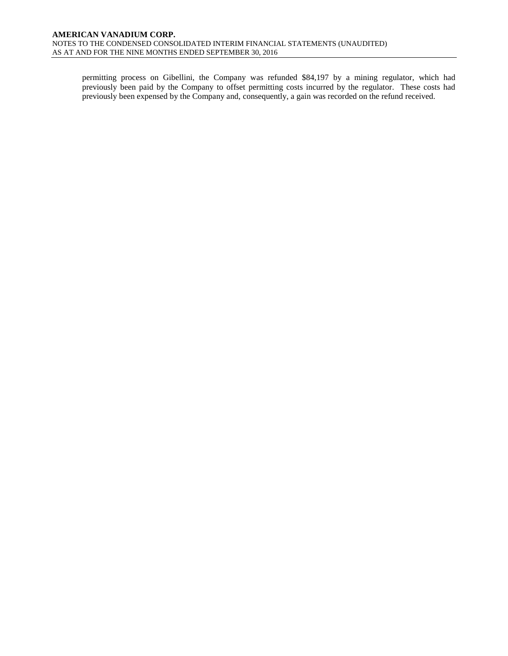permitting process on Gibellini, the Company was refunded \$84,197 by a mining regulator, which had previously been paid by the Company to offset permitting costs incurred by the regulator. These costs had previously been expensed by the Company and, consequently, a gain was recorded on the refund received.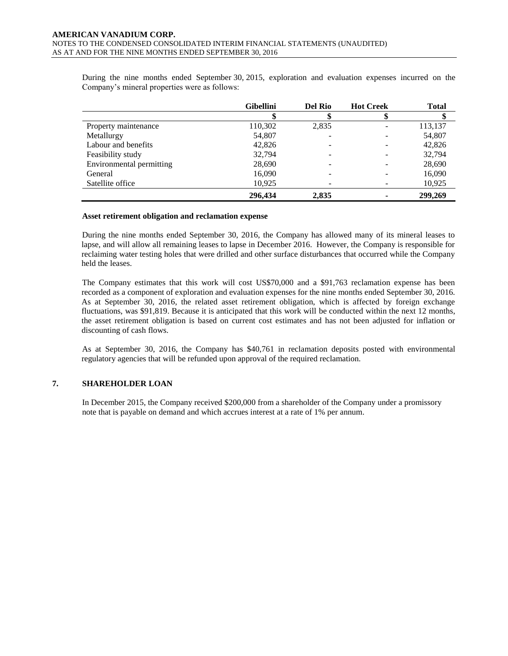During the nine months ended September 30, 2015, exploration and evaluation expenses incurred on the Company's mineral properties were as follows:

|                          | <b>Gibellini</b> | <b>Del Rio</b> | <b>Hot Creek</b> | <b>Total</b> |
|--------------------------|------------------|----------------|------------------|--------------|
|                          |                  |                |                  |              |
| Property maintenance     | 110,302          | 2,835          |                  | 113,137      |
| Metallurgy               | 54,807           |                |                  | 54,807       |
| Labour and benefits      | 42,826           |                |                  | 42,826       |
| Feasibility study        | 32,794           |                |                  | 32,794       |
| Environmental permitting | 28,690           |                |                  | 28,690       |
| General                  | 16,090           |                |                  | 16,090       |
| Satellite office         | 10,925           |                |                  | 10,925       |
|                          | 296,434          | 2,835          |                  | 299,269      |

#### **Asset retirement obligation and reclamation expense**

During the nine months ended September 30, 2016, the Company has allowed many of its mineral leases to lapse, and will allow all remaining leases to lapse in December 2016. However, the Company is responsible for reclaiming water testing holes that were drilled and other surface disturbances that occurred while the Company held the leases.

The Company estimates that this work will cost US\$70,000 and a \$91,763 reclamation expense has been recorded as a component of exploration and evaluation expenses for the nine months ended September 30, 2016. As at September 30, 2016, the related asset retirement obligation, which is affected by foreign exchange fluctuations, was \$91,819. Because it is anticipated that this work will be conducted within the next 12 months, the asset retirement obligation is based on current cost estimates and has not been adjusted for inflation or discounting of cash flows.

As at September 30, 2016, the Company has \$40,761 in reclamation deposits posted with environmental regulatory agencies that will be refunded upon approval of the required reclamation.

# **7. SHAREHOLDER LOAN**

In December 2015, the Company received \$200,000 from a shareholder of the Company under a promissory note that is payable on demand and which accrues interest at a rate of 1% per annum.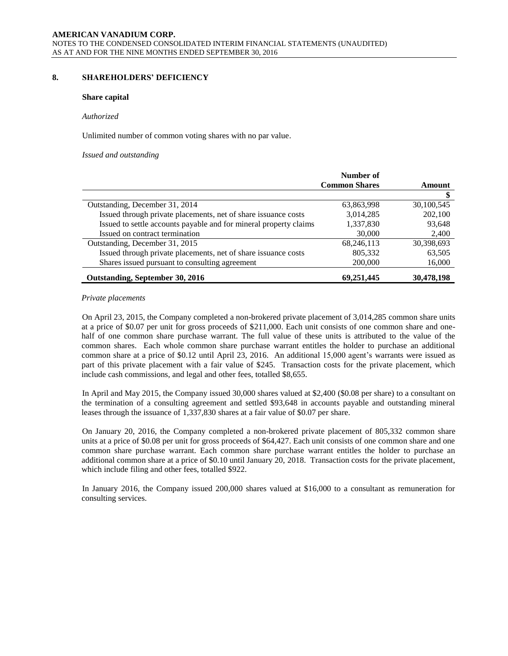# **8. SHAREHOLDERS' DEFICIENCY**

#### **Share capital**

#### *Authorized*

Unlimited number of common voting shares with no par value.

*Issued and outstanding*

|                                                                   | Number of            |            |
|-------------------------------------------------------------------|----------------------|------------|
|                                                                   | <b>Common Shares</b> | Amount     |
|                                                                   |                      |            |
| Outstanding, December 31, 2014                                    | 63,863,998           | 30,100,545 |
| Issued through private placements, net of share issuance costs    | 3,014,285            | 202,100    |
| Issued to settle accounts payable and for mineral property claims | 1,337,830            | 93,648     |
| Issued on contract termination                                    | 30,000               | 2,400      |
| Outstanding, December 31, 2015                                    | 68,246,113           | 30,398,693 |
| Issued through private placements, net of share issuance costs    | 805,332              | 63,505     |
| Shares issued pursuant to consulting agreement                    | 200,000              | 16,000     |
| Outstanding, September 30, 2016                                   | 69,251,445           | 30,478,198 |

#### *Private placements*

On April 23, 2015, the Company completed a non-brokered private placement of 3,014,285 common share units at a price of \$0.07 per unit for gross proceeds of \$211,000. Each unit consists of one common share and onehalf of one common share purchase warrant. The full value of these units is attributed to the value of the common shares. Each whole common share purchase warrant entitles the holder to purchase an additional common share at a price of \$0.12 until April 23, 2016. An additional 15,000 agent's warrants were issued as part of this private placement with a fair value of \$245. Transaction costs for the private placement, which include cash commissions, and legal and other fees, totalled \$8,655.

In April and May 2015, the Company issued 30,000 shares valued at \$2,400 (\$0.08 per share) to a consultant on the termination of a consulting agreement and settled \$93,648 in accounts payable and outstanding mineral leases through the issuance of 1,337,830 shares at a fair value of \$0.07 per share.

On January 20, 2016, the Company completed a non-brokered private placement of 805,332 common share units at a price of \$0.08 per unit for gross proceeds of \$64,427. Each unit consists of one common share and one common share purchase warrant. Each common share purchase warrant entitles the holder to purchase an additional common share at a price of \$0.10 until January 20, 2018. Transaction costs for the private placement, which include filing and other fees, totalled \$922.

In January 2016, the Company issued 200,000 shares valued at \$16,000 to a consultant as remuneration for consulting services.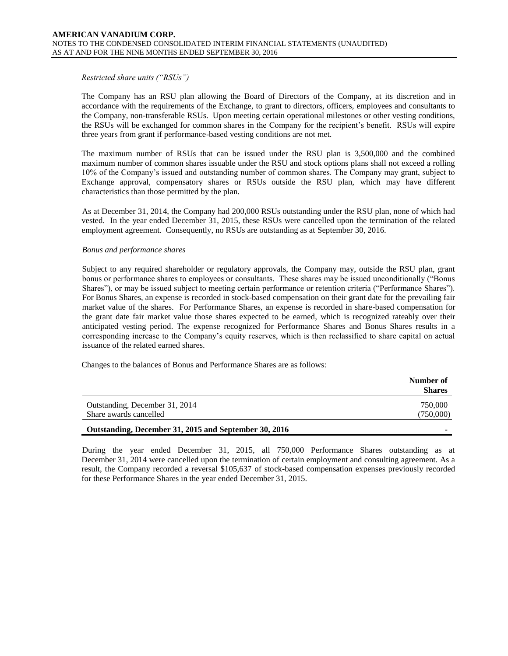#### *Restricted share units ("RSUs")*

The Company has an RSU plan allowing the Board of Directors of the Company, at its discretion and in accordance with the requirements of the Exchange, to grant to directors, officers, employees and consultants to the Company, non-transferable RSUs. Upon meeting certain operational milestones or other vesting conditions, the RSUs will be exchanged for common shares in the Company for the recipient's benefit. RSUs will expire three years from grant if performance-based vesting conditions are not met.

The maximum number of RSUs that can be issued under the RSU plan is 3,500,000 and the combined maximum number of common shares issuable under the RSU and stock options plans shall not exceed a rolling 10% of the Company's issued and outstanding number of common shares. The Company may grant, subject to Exchange approval, compensatory shares or RSUs outside the RSU plan, which may have different characteristics than those permitted by the plan.

As at December 31, 2014, the Company had 200,000 RSUs outstanding under the RSU plan, none of which had vested. In the year ended December 31, 2015, these RSUs were cancelled upon the termination of the related employment agreement. Consequently, no RSUs are outstanding as at September 30, 2016.

#### *Bonus and performance shares*

Subject to any required shareholder or regulatory approvals, the Company may, outside the RSU plan, grant bonus or performance shares to employees or consultants. These shares may be issued unconditionally ("Bonus Shares"), or may be issued subject to meeting certain performance or retention criteria ("Performance Shares"). For Bonus Shares, an expense is recorded in stock-based compensation on their grant date for the prevailing fair market value of the shares. For Performance Shares, an expense is recorded in share-based compensation for the grant date fair market value those shares expected to be earned, which is recognized rateably over their anticipated vesting period. The expense recognized for Performance Shares and Bonus Shares results in a corresponding increase to the Company's equity reserves, which is then reclassified to share capital on actual issuance of the related earned shares.

Changes to the balances of Bonus and Performance Shares are as follows:

|                                                       | Number of<br><b>Shares</b> |
|-------------------------------------------------------|----------------------------|
| Outstanding, December 31, 2014                        | 750,000                    |
| Share awards cancelled                                | (750,000)                  |
| Outstanding, December 31, 2015 and September 30, 2016 |                            |

During the year ended December 31, 2015, all 750,000 Performance Shares outstanding as at December 31, 2014 were cancelled upon the termination of certain employment and consulting agreement. As a result, the Company recorded a reversal \$105,637 of stock-based compensation expenses previously recorded for these Performance Shares in the year ended December 31, 2015.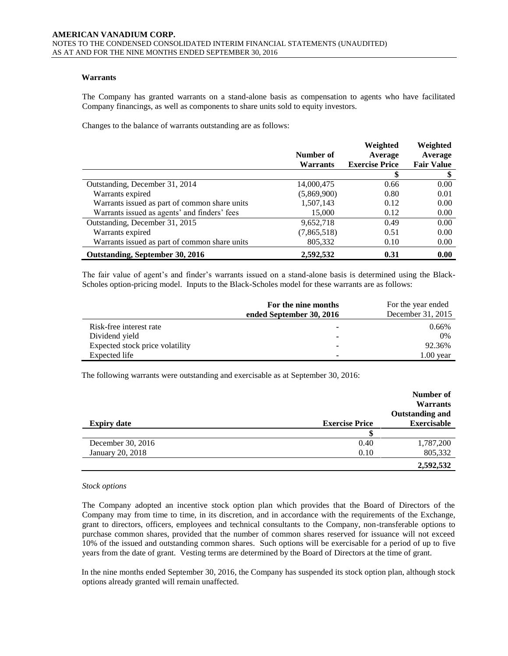# **Warrants**

The Company has granted warrants on a stand-alone basis as compensation to agents who have facilitated Company financings, as well as components to share units sold to equity investors.

Changes to the balance of warrants outstanding are as follows:

|                                               | Number of       | Weighted<br>Average   | Weighted<br>Average |
|-----------------------------------------------|-----------------|-----------------------|---------------------|
|                                               | <b>Warrants</b> | <b>Exercise Price</b> | <b>Fair Value</b>   |
|                                               |                 |                       |                     |
| Outstanding, December 31, 2014                | 14,000,475      | 0.66                  | 0.00                |
| Warrants expired                              | (5,869,900)     | 0.80                  | 0.01                |
| Warrants issued as part of common share units | 1,507,143       | 0.12                  | 0.00                |
| Warrants issued as agents' and finders' fees  | 15,000          | 0.12                  | 0.00                |
| Outstanding, December 31, 2015                | 9,652,718       | 0.49                  | 0.00                |
| Warrants expired                              | (7,865,518)     | 0.51                  | 0.00                |
| Warrants issued as part of common share units | 805,332         | 0.10                  | 0.00                |
| Outstanding, September 30, 2016               | 2.592.532       | 0.31                  | 0.00                |

The fair value of agent's and finder's warrants issued on a stand-alone basis is determined using the Black-Scholes option-pricing model. Inputs to the Black-Scholes model for these warrants are as follows:

|                                 | For the nine months<br>ended September 30, 2016 | For the year ended<br>December 31, 2015 |
|---------------------------------|-------------------------------------------------|-----------------------------------------|
| Risk-free interest rate         |                                                 | 0.66%                                   |
| Dividend yield                  |                                                 | $0\%$                                   |
| Expected stock price volatility |                                                 | 92.36%                                  |
| Expected life                   | ۰                                               | $1.00$ year                             |

The following warrants were outstanding and exercisable as at September 30, 2016:

|                    |                       | Number of<br><b>Warrants</b> |
|--------------------|-----------------------|------------------------------|
|                    |                       | Outstanding and              |
| <b>Expiry date</b> | <b>Exercise Price</b> | <b>Exercisable</b>           |
|                    |                       |                              |
| December 30, 2016  | 0.40                  | 1,787,200                    |
| January 20, 2018   | 0.10                  | 805,332                      |
|                    |                       | 2,592,532                    |

#### *Stock options*

The Company adopted an incentive stock option plan which provides that the Board of Directors of the Company may from time to time, in its discretion, and in accordance with the requirements of the Exchange, grant to directors, officers, employees and technical consultants to the Company, non-transferable options to purchase common shares, provided that the number of common shares reserved for issuance will not exceed 10% of the issued and outstanding common shares. Such options will be exercisable for a period of up to five years from the date of grant. Vesting terms are determined by the Board of Directors at the time of grant.

In the nine months ended September 30, 2016, the Company has suspended its stock option plan, although stock options already granted will remain unaffected.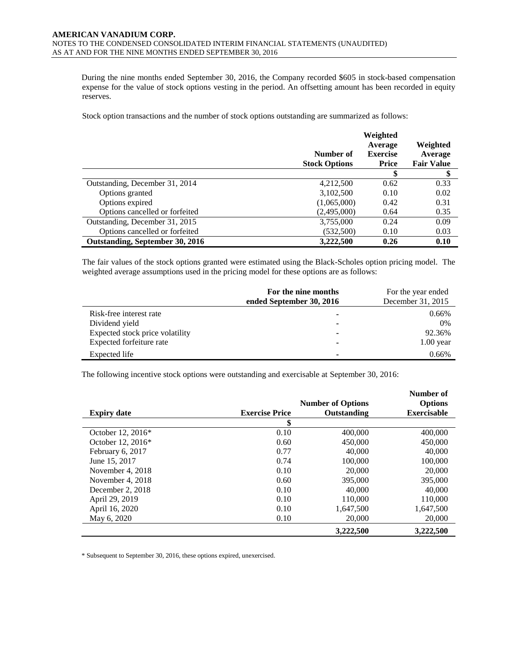During the nine months ended September 30, 2016, the Company recorded \$605 in stock-based compensation expense for the value of stock options vesting in the period. An offsetting amount has been recorded in equity reserves.

Stock option transactions and the number of stock options outstanding are summarized as follows:

|                                 |                                   | Weighted<br>Average             | Weighted                     |
|---------------------------------|-----------------------------------|---------------------------------|------------------------------|
|                                 | Number of<br><b>Stock Options</b> | <b>Exercise</b><br><b>Price</b> | Average<br><b>Fair Value</b> |
|                                 |                                   | S                               | S                            |
| Outstanding, December 31, 2014  | 4,212,500                         | 0.62                            | 0.33                         |
| Options granted                 | 3,102,500                         | 0.10                            | 0.02                         |
| Options expired                 | (1,065,000)                       | 0.42                            | 0.31                         |
| Options cancelled or forfeited  | (2,495,000)                       | 0.64                            | 0.35                         |
| Outstanding, December 31, 2015  | 3,755,000                         | 0.24                            | 0.09                         |
| Options cancelled or forfeited  | (532,500)                         | 0.10                            | 0.03                         |
| Outstanding, September 30, 2016 | 3,222,500                         | 0.26                            | 0.10                         |

The fair values of the stock options granted were estimated using the Black-Scholes option pricing model. The weighted average assumptions used in the pricing model for these options are as follows:

|                                 | For the nine months<br>ended September 30, 2016 | For the year ended<br>December 31, 2015 |
|---------------------------------|-------------------------------------------------|-----------------------------------------|
| Risk-free interest rate         | ۰                                               | 0.66%                                   |
| Dividend yield                  | ۰                                               | $0\%$                                   |
| Expected stock price volatility | -                                               | 92.36%                                  |
| Expected forfeiture rate        |                                                 | $1.00$ year                             |
| Expected life                   | $\overline{\phantom{a}}$                        | 0.66%                                   |

The following incentive stock options were outstanding and exercisable at September 30, 2016:

|                    |                       | <b>Number of Options</b> | Number of<br><b>Options</b> |
|--------------------|-----------------------|--------------------------|-----------------------------|
| <b>Expiry date</b> | <b>Exercise Price</b> | Outstanding              | <b>Exercisable</b>          |
|                    | \$                    |                          |                             |
| October 12, 2016*  | 0.10                  | 400,000                  | 400,000                     |
| October 12, 2016*  | 0.60                  | 450,000                  | 450,000                     |
| February 6, 2017   | 0.77                  | 40,000                   | 40,000                      |
| June 15, 2017      | 0.74                  | 100,000                  | 100,000                     |
| November 4, 2018   | 0.10                  | 20,000                   | 20,000                      |
| November 4, 2018   | 0.60                  | 395,000                  | 395,000                     |
| December 2, 2018   | 0.10                  | 40,000                   | 40,000                      |
| April 29, 2019     | 0.10                  | 110,000                  | 110,000                     |
| April 16, 2020     | 0.10                  | 1.647.500                | 1.647.500                   |
| May 6, 2020        | 0.10                  | 20,000                   | 20,000                      |
|                    |                       | 3,222,500                | 3,222,500                   |

\* Subsequent to September 30, 2016, these options expired, unexercised.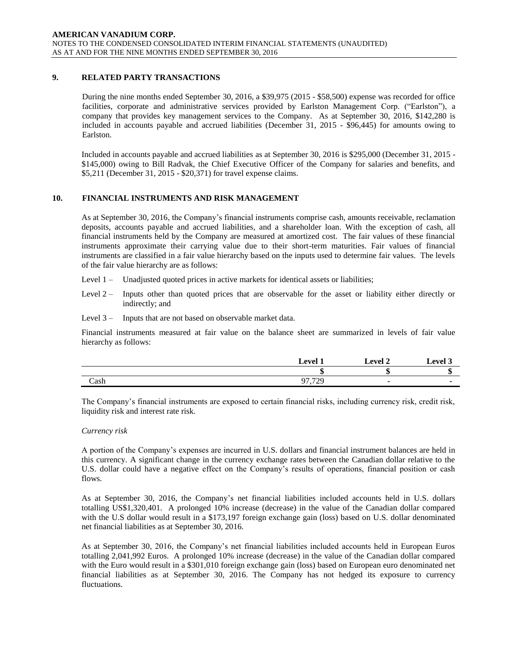# **9. RELATED PARTY TRANSACTIONS**

During the nine months ended September 30, 2016, a \$39,975 (2015 - \$58,500) expense was recorded for office facilities, corporate and administrative services provided by Earlston Management Corp. ("Earlston"), a company that provides key management services to the Company. As at September 30, 2016, \$142,280 is included in accounts payable and accrued liabilities (December 31, 2015 - \$96,445) for amounts owing to Earlston.

Included in accounts payable and accrued liabilities as at September 30, 2016 is \$295,000 (December 31, 2015 - \$145,000) owing to Bill Radvak, the Chief Executive Officer of the Company for salaries and benefits, and \$5,211 (December 31, 2015 - \$20,371) for travel expense claims.

# **10. FINANCIAL INSTRUMENTS AND RISK MANAGEMENT**

As at September 30, 2016, the Company's financial instruments comprise cash, amounts receivable, reclamation deposits, accounts payable and accrued liabilities, and a shareholder loan. With the exception of cash, all financial instruments held by the Company are measured at amortized cost. The fair values of these financial instruments approximate their carrying value due to their short-term maturities. Fair values of financial instruments are classified in a fair value hierarchy based on the inputs used to determine fair values. The levels of the fair value hierarchy are as follows:

- Level 1 Unadjusted quoted prices in active markets for identical assets or liabilities;
- Level 2 Inputs other than quoted prices that are observable for the asset or liability either directly or indirectly; and
- Level 3 Inputs that are not based on observable market data.

Financial instruments measured at fair value on the balance sheet are summarized in levels of fair value hierarchy as follows:

|      | $T_{\text{aval}}$ 1 | $L$ evel $^{\circ}$ | امتیم . |
|------|---------------------|---------------------|---------|
|      | ш                   | ٠D                  |         |
| Cash | 07720<br>ر ت        |                     |         |

The Company's financial instruments are exposed to certain financial risks, including currency risk, credit risk, liquidity risk and interest rate risk.

#### *Currency risk*

A portion of the Company's expenses are incurred in U.S. dollars and financial instrument balances are held in this currency. A significant change in the currency exchange rates between the Canadian dollar relative to the U.S. dollar could have a negative effect on the Company's results of operations, financial position or cash flows.

As at September 30, 2016, the Company's net financial liabilities included accounts held in U.S. dollars totalling US\$1,320,401. A prolonged 10% increase (decrease) in the value of the Canadian dollar compared with the U.S dollar would result in a \$173,197 foreign exchange gain (loss) based on U.S. dollar denominated net financial liabilities as at September 30, 2016.

As at September 30, 2016, the Company's net financial liabilities included accounts held in European Euros totalling 2,041,992 Euros. A prolonged 10% increase (decrease) in the value of the Canadian dollar compared with the Euro would result in a \$301,010 foreign exchange gain (loss) based on European euro denominated net financial liabilities as at September 30, 2016. The Company has not hedged its exposure to currency fluctuations.